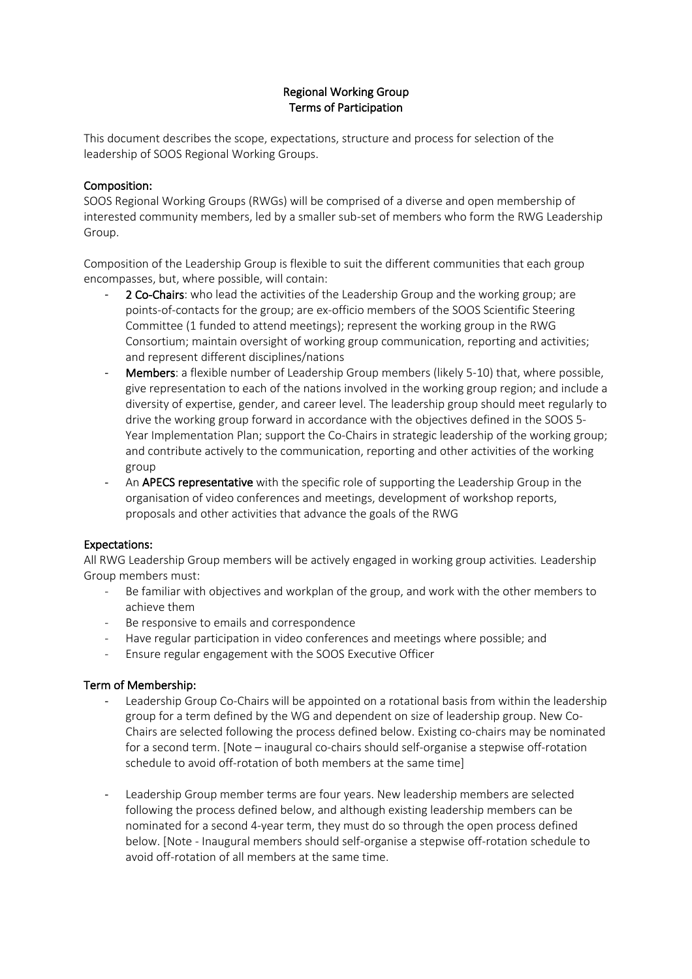# Regional Working Group Terms of Participation

This document describes the scope, expectations, structure and process for selection of the leadership of SOOS Regional Working Groups.

#### Composition:

SOOS Regional Working Groups (RWGs) will be comprised of a diverse and open membership of interested community members, led by a smaller sub-set of members who form the RWG Leadership Group.

Composition of the Leadership Group is flexible to suit the different communities that each group encompasses, but, where possible, will contain:

- 2 Co-Chairs: who lead the activities of the Leadership Group and the working group; are points-of-contacts for the group; are ex-officio members of the SOOS Scientific Steering Committee (1 funded to attend meetings); represent the working group in the RWG Consortium; maintain oversight of working group communication, reporting and activities; and represent different disciplines/nations
- Members: a flexible number of Leadership Group members (likely 5-10) that, where possible, give representation to each of the nations involved in the working group region; and include a diversity of expertise, gender, and career level. The leadership group should meet regularly to drive the working group forward in accordance with the objectives defined in the SOOS 5- Year Implementation Plan; support the Co-Chairs in strategic leadership of the working group; and contribute actively to the communication, reporting and other activities of the working group
- An **APECS representative** with the specific role of supporting the Leadership Group in the organisation of video conferences and meetings, development of workshop reports, proposals and other activities that advance the goals of the RWG

## Expectations:

All RWG Leadership Group members will be actively engaged in working group activities*.* Leadership Group members must:

- Be familiar with objectives and workplan of the group, and work with the other members to achieve them
- Be responsive to emails and correspondence
- Have regular participation in video conferences and meetings where possible; and
- Ensure regular engagement with the SOOS Executive Officer

## Term of Membership:

- Leadership Group Co-Chairs will be appointed on a rotational basis from within the leadership group for a term defined by the WG and dependent on size of leadership group. New Co-Chairs are selected following the process defined below. Existing co-chairs may be nominated for a second term. [Note – inaugural co-chairs should self-organise a stepwise off-rotation schedule to avoid off-rotation of both members at the same time]
- Leadership Group member terms are four years. New leadership members are selected following the process defined below, and although existing leadership members can be nominated for a second 4-year term, they must do so through the open process defined below. [Note - Inaugural members should self-organise a stepwise off-rotation schedule to avoid off-rotation of all members at the same time.